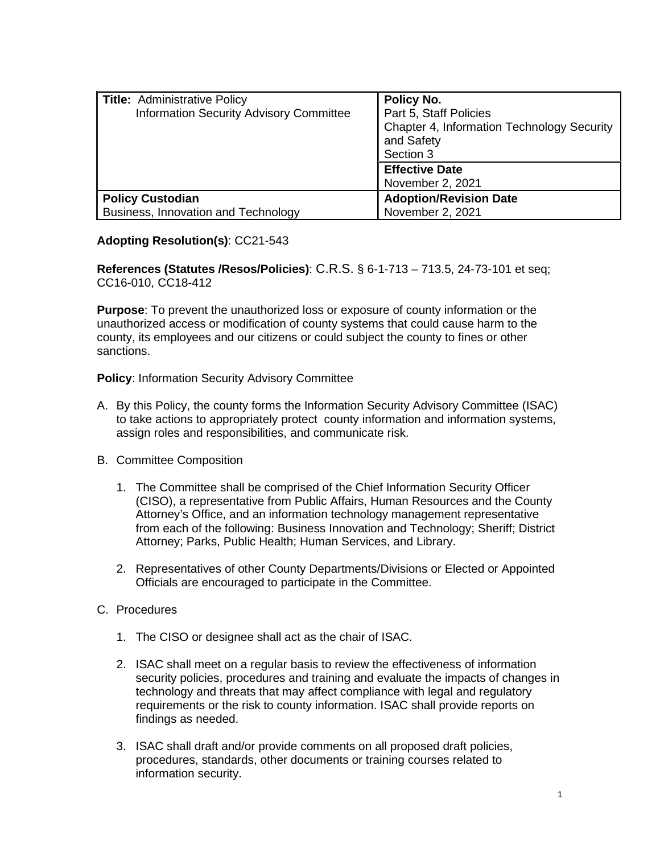| <b>Title: Administrative Policy</b>     | Policy No.                                 |
|-----------------------------------------|--------------------------------------------|
| Information Security Advisory Committee | Part 5, Staff Policies                     |
|                                         | Chapter 4, Information Technology Security |
|                                         | and Safety                                 |
|                                         | Section 3                                  |
|                                         | <b>Effective Date</b>                      |
|                                         | November 2, 2021                           |
| <b>Policy Custodian</b>                 | <b>Adoption/Revision Date</b>              |
| Business, Innovation and Technology     | November 2, 2021                           |

## **Adopting Resolution(s)**: CC21-543

**References (Statutes /Resos/Policies)**: C.R.S. § 6-1-713 – 713.5, 24-73-101 et seq; CC16-010, CC18-412

**Purpose**: To prevent the unauthorized loss or exposure of county information or the unauthorized access or modification of county systems that could cause harm to the county, its employees and our citizens or could subject the county to fines or other sanctions.

**Policy**: Information Security Advisory Committee

- A. By this Policy, the county forms the Information Security Advisory Committee (ISAC) to take actions to appropriately protect county information and information systems, assign roles and responsibilities, and communicate risk.
- B. Committee Composition
	- 1. The Committee shall be comprised of the Chief Information Security Officer (CISO), a representative from Public Affairs, Human Resources and the County Attorney's Office, and an information technology management representative from each of the following: Business Innovation and Technology; Sheriff; District Attorney; Parks, Public Health; Human Services, and Library.
	- 2. Representatives of other County Departments/Divisions or Elected or Appointed Officials are encouraged to participate in the Committee.
- C. Procedures
	- 1. The CISO or designee shall act as the chair of ISAC.
	- 2. ISAC shall meet on a regular basis to review the effectiveness of information security policies, procedures and training and evaluate the impacts of changes in technology and threats that may affect compliance with legal and regulatory requirements or the risk to county information. ISAC shall provide reports on findings as needed.
	- 3. ISAC shall draft and/or provide comments on all proposed draft policies, procedures, standards, other documents or training courses related to information security.